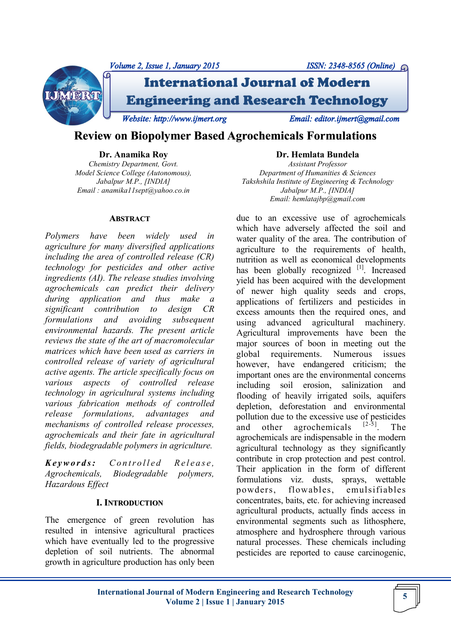

# **Review on Biopolymer Based Agrochemicals Formulations**

**Dr. Anamika Roy**

*Chemistry Department, Govt. Model Science College (Autonomous), Jabalpur M.P., [INDIA] Email : anamika11sept@yahoo.co.in*

#### **ABSTRACT**

*Polymers have been widely used in agriculture for many diversified applications including the area of controlled release (CR) technology for pesticides and other active ingredients (AI). The release studies involving agrochemicals can predict their delivery during application and thus make a significant contribution to design CR formulations and avoiding subsequent environmental hazards. The present article reviews the state of the art of macromolecular matrices which have been used as carriers in controlled release of variety of agricultural active agents. The article specifically focus on various aspects of controlled release technology in agricultural systems including various fabrication methods of controlled release formulations, advantages and mechanisms of controlled release processes, agrochemicals and their fate in agricultural fields, biodegradable polymers in agriculture.*

*K e y w o r d s : C o n t r o l l e d R e l e a s e , Agrochemicals, Biodegradable polymers, Hazardous Effect*

#### **I. INTRODUCTION**

The emergence of green revolution has resulted in intensive agricultural practices which have eventually led to the progressive depletion of soil nutrients. The abnormal growth in agriculture production has only been **Dr. Hemlata Bundela**

*Assistant Professor Department of Humanities & Sciences Takshshila Institute of Engineering & Technology Jabalpur M.P., [INDIA] Email: hemlatajbp@gmail.com* 

due to an excessive use of agrochemicals which have adversely affected the soil and water quality of the area. The contribution of agriculture to the requirements of health, nutrition as well as economical developments has been globally recognized [1]. Increased yield has been acquired with the development of newer high quality seeds and crops, applications of fertilizers and pesticides in excess amounts then the required ones, and using advanced agricultural machinery. Agricultural improvements have been the major sources of boon in meeting out the global requirements. Numerous issues however, have endangered criticism; the important ones are the environmental concerns including soil erosion, salinization and flooding of heavily irrigated soils, aquifers depletion, deforestation and environmental pollution due to the excessive use of pesticides and other agrochemicals  $[2-5]$ . The agrochemicals are indispensable in the modern agricultural technology as they significantly contribute in crop protection and pest control. Their application in the form of different formulations viz. dusts, sprays, wettable powders, flowables, emulsifiables concentrates, baits, etc. for achieving increased agricultural products, actually finds access in environmental segments such as lithosphere, atmosphere and hydrosphere through various natural processes. These chemicals including pesticides are reported to cause carcinogenic,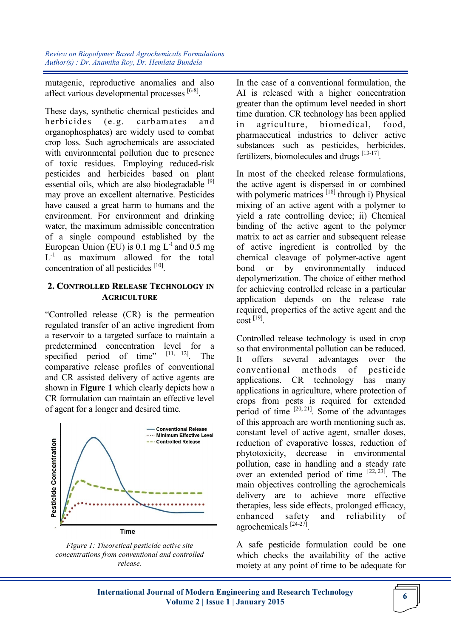mutagenic, reproductive anomalies and also affect various developmental processes [6-8].

These days, synthetic chemical pesticides and herbicides (e.g. carbamates and organophosphates) are widely used to combat crop loss. Such agrochemicals are associated with environmental pollution due to presence of toxic residues. Employing reduced-risk pesticides and herbicides based on plant essential oils, which are also biodegradable  $[9]$ may prove an excellent alternative. Pesticides have caused a great harm to humans and the environment. For environment and drinking water, the maximum admissible concentration of a single compound established by the European Union (EU) is 0.1 mg  $L^{-1}$  and 0.5 mg L<sup>-1</sup> as maximum allowed for the total concentration of all pesticides [10].

## **2. CONTROLLED RELEASE TECHNOLOGY IN AGRICULTURE**

"Controlled release (CR) is the permeation regulated transfer of an active ingredient from a reservoir to a targeted surface to maintain a predetermined concentration level for a specified period of time" [11, 12]. The comparative release profiles of conventional and CR assisted delivery of active agents are shown in **Figure 1** which clearly depicts how a CR formulation can maintain an effective level of agent for a longer and desired time.



*Figure 1: Theoretical pesticide active site concentrations from conventional and controlled release.*

In the case of a conventional formulation, the AI is released with a higher concentration greater than the optimum level needed in short time duration. CR technology has been applied in agriculture, biomedical, food, pharmaceutical industries to deliver active substances such as pesticides, herbicides, fertilizers, biomolecules and drugs [13-17].

In most of the checked release formulations, the active agent is dispersed in or combined with polymeric matrices  $[18]$  through i) Physical mixing of an active agent with a polymer to yield a rate controlling device; ii) Chemical binding of the active agent to the polymer matrix to act as carrier and subsequent release of active ingredient is controlled by the chemical cleavage of polymer-active agent bond or by environmentally induced depolymerization. The choice of either method for achieving controlled release in a particular application depends on the release rate required, properties of the active agent and the cost [19] .

Controlled release technology is used in crop so that environmental pollution can be reduced. It offers several advantages over the conventional methods of pesticide applications. CR technology has many applications in agriculture, where protection of crops from pests is required for extended period of time  $[20, 21]$ . Some of the advantages of this approach are worth mentioning such as, constant level of active agent, smaller doses, reduction of evaporative losses, reduction of phytotoxicity, decrease in environmental pollution, ease in handling and a steady rate over an extended period of time  $[22, 23]$ . The main objectives controlling the agrochemicals delivery are to achieve more effective therapies, less side effects, prolonged efficacy, enhanced safety and reliability of agrochemicals [24-27] .

A safe pesticide formulation could be one which checks the availability of the active moiety at any point of time to be adequate for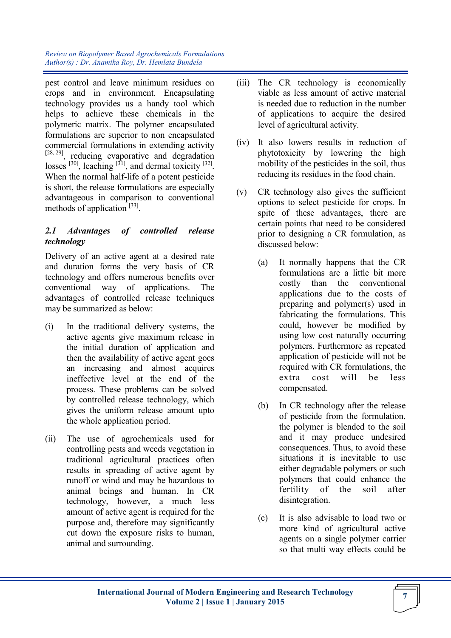pest control and leave minimum residues on crops and in environment. Encapsulating technology provides us a handy tool which helps to achieve these chemicals in the polymeric matrix. The polymer encapsulated formulations are superior to non encapsulated commercial formulations in extending activity [28, 29], reducing evaporative and degradation losses  $[30]$ , leaching  $[31]$ , and dermal toxicity  $[32]$ . When the normal half-life of a potent pesticide is short, the release formulations are especially advantageous in comparison to conventional methods of application [33].

# *2.1 Advantages of controlled release technology*

Delivery of an active agent at a desired rate and duration forms the very basis of CR technology and offers numerous benefits over conventional way of applications. The advantages of controlled release techniques may be summarized as below:

- (i) In the traditional delivery systems, the active agents give maximum release in the initial duration of application and then the availability of active agent goes an increasing and almost acquires ineffective level at the end of the process. These problems can be solved by controlled release technology, which gives the uniform release amount upto the whole application period.
- (ii) The use of agrochemicals used for controlling pests and weeds vegetation in traditional agricultural practices often results in spreading of active agent by runoff or wind and may be hazardous to animal beings and human. In CR technology, however, a much less amount of active agent is required for the purpose and, therefore may significantly cut down the exposure risks to human, animal and surrounding.
- (iii) The CR technology is economically viable as less amount of active material is needed due to reduction in the number of applications to acquire the desired level of agricultural activity.
- (iv) It also lowers results in reduction of phytotoxicity by lowering the high mobility of the pesticides in the soil, thus reducing its residues in the food chain.
- (v) CR technology also gives the sufficient options to select pesticide for crops. In spite of these advantages, there are certain points that need to be considered prior to designing a CR formulation, as discussed below:
	- (a) It normally happens that the CR formulations are a little bit more costly than the conventional applications due to the costs of preparing and polymer(s) used in fabricating the formulations. This could, however be modified by using low cost naturally occurring polymers. Furthermore as repeated application of pesticide will not be required with CR formulations, the extra cost will be less compensated.
	- (b) In CR technology after the release of pesticide from the formulation, the polymer is blended to the soil and it may produce undesired consequences. Thus, to avoid these situations it is inevitable to use either degradable polymers or such polymers that could enhance the fertility of the soil after disintegration.
	- (c) It is also advisable to load two or more kind of agricultural active agents on a single polymer carrier so that multi way effects could be

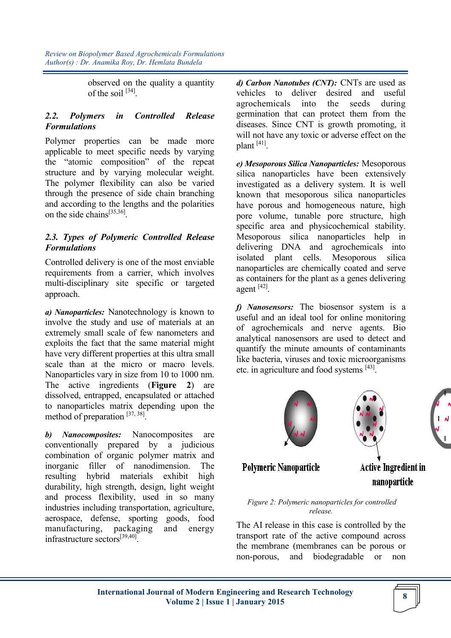> observed on the quality a quantity of the soil  $^{[34]}$ .

# *2.2. Polymers in Controlled Release Formulations*

Polymer properties can be made more applicable to meet specific needs by varying the "atomic composition" of the repeat structure and by varying molecular weight. The polymer flexibility can also be varied through the presence of side chain branching and according to the lengths and the polarities on the side chains<sup>[35,36]</sup>.

## *2.3. Types of Polymeric Controlled Release Formulations*

Controlled delivery is one of the most enviable requirements from a carrier, which involves multi-disciplinary site specific or targeted approach.

*a) Nanoparticles:* Nanotechnology is known to involve the study and use of materials at an extremely small scale of few nanometers and exploits the fact that the same material might have very different properties at this ultra small scale than at the micro or macro levels. Nanoparticles vary in size from 10 to 1000 nm. The active ingredients (**Figure 2**) are dissolved, entrapped, encapsulated or attached to nanoparticles matrix depending upon the method of preparation [37, 38].

*b) Nanocomposites:* Nanocomposites are conventionally prepared by a judicious combination of organic polymer matrix and inorganic filler of nanodimension. The resulting hybrid materials exhibit high durability, high strength, design, light weight and process flexibility, used in so many industries including transportation, agriculture, aerospace, defense, sporting goods, food manufacturing, packaging and energy infrastructure sectors<sup>[39,40]</sup>.

*d) Carbon Nanotubes (CNT):* CNTs are used as vehicles to deliver desired and useful agrochemicals into the seeds during germination that can protect them from the diseases. Since CNT is growth promoting, it will not have any toxic or adverse effect on the plant [41].

*e) Mesoporous Silica Nanoparticles:* Mesoporous silica nanoparticles have been extensively investigated as a delivery system. It is well known that mesoporous silica nanoparticles have porous and homogeneous nature, high pore volume, tunable pore structure, high specific area and physicochemical stability. Mesoporous silica nanoparticles help in delivering DNA and agrochemicals into isolated plant cells. Mesoporous silica nanoparticles are chemically coated and serve as containers for the plant as a genes delivering agent [42] .

*f) Nanosensors:* The biosensor system is a useful and an ideal tool for online monitoring of agrochemicals and nerve agents. Bio analytical nanosensors are used to detect and quantify the minute amounts of contaminants like bacteria, viruses and toxic microorganisms etc. in agriculture and food systems [43].



**Polymeric Nanoparticle** 

Active Ingredient in nanoparticle

*Figure 2: Polymeric nanoparticles for controlled release.*

The AI release in this case is controlled by the transport rate of the active compound across the membrane (membranes can be porous or non-porous, and biodegradable or non

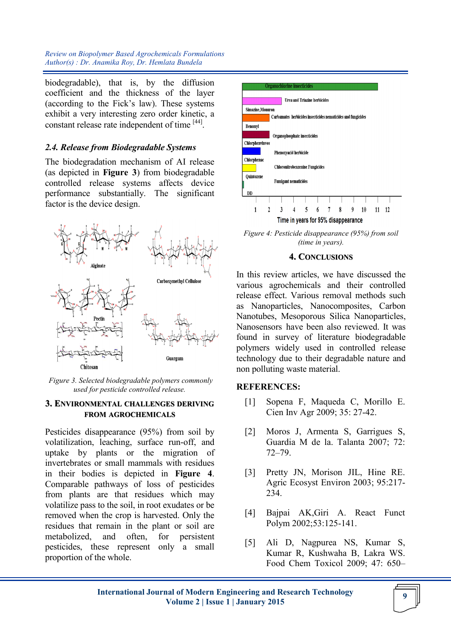biodegradable), that is, by the diffusion coefficient and the thickness of the layer (according to the Fick's law). These systems exhibit a very interesting zero order kinetic, a constant release rate independent of time [44].

## *2.4. Release from Biodegradable Systems*

The biodegradation mechanism of AI release (as depicted in **Figure 3**) from biodegradable controlled release systems affects device performance substantially. The significant factor is the device design.



*Figure 3. Selected biodegradable polymers commonly used for pesticide controlled release.* 

#### **3. ENVIRONMENTAL CHALLENGES DERIVING FROM AGROCHEMICALS**

Pesticides disappearance (95%) from soil by volatilization, leaching, surface run-off, and uptake by plants or the migration of invertebrates or small mammals with residues in their bodies is depicted in **Figure 4**. Comparable pathways of loss of pesticides from plants are that residues which may volatilize pass to the soil, in root exudates or be removed when the crop is harvested. Only the residues that remain in the plant or soil are metabolized, and often, for persistent pesticides, these represent only a small proportion of the whole.



*Figure 4: Pesticide disappearance (95%) from soil (time in years).*

#### **4. CONCLUSIONS**

In this review articles, we have discussed the various agrochemicals and their controlled release effect. Various removal methods such as Nanoparticles, Nanocomposites, Carbon Nanotubes, Mesoporous Silica Nanoparticles, Nanosensors have been also reviewed. It was found in survey of literature biodegradable polymers widely used in controlled release technology due to their degradable nature and non polluting waste material.

### **REFERENCES:**

- [1] Sopena F, Maqueda C, Morillo E. Cien Inv Agr 2009; 35: 27-42.
- [2] Moros J, Armenta S, Garrigues S, Guardia M de la. Talanta 2007; 72: 72–79.
- [3] Pretty JN, Morison JIL, Hine RE. Agric Ecosyst Environ 2003; 95:217- 234.
- [4] Bajpai AK,Giri A. React Funct Polym 2002;53:125-141.
- [5] Ali D, Nagpurea NS, Kumar S, Kumar R, Kushwaha B, Lakra WS. Food Chem Toxicol 2009; 47: 650–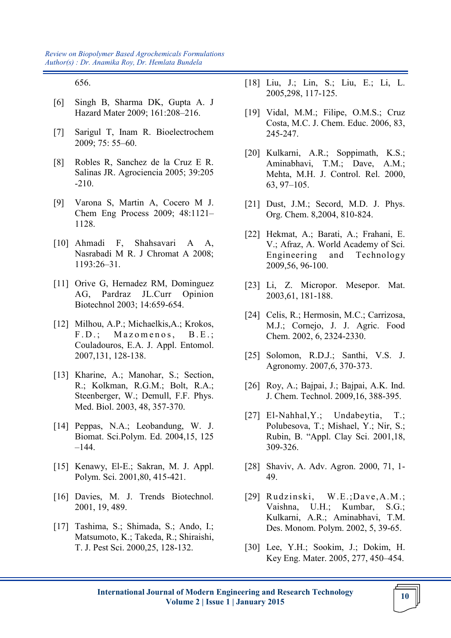656.

- [6] Singh B, Sharma DK, Gupta A. J Hazard Mater 2009; 161:208–216.
- [7] Sarigul T, Inam R. Bioelectrochem 2009; 75: 55–60.
- [8] Robles R, Sanchez de la Cruz E R. Salinas JR. Agrociencia 2005; 39:205 -210.
- [9] Varona S, Martin A, Cocero M J. Chem Eng Process 2009; 48:1121– 1128.
- [10] Ahmadi F, Shahsavari A A, Nasrabadi M R. J Chromat A 2008; 1193:26–31.
- [11] Orive G, Hernadez RM, Dominguez AG, Pardraz JL.Curr Opinion Biotechnol 2003; 14:659-654.
- [12] Milhou, A.P.; Michaelkis,A.; Krokos, F.D.; Mazomenos, B.E.; Couladouros, E.A. J. Appl. Entomol. 2007,131, 128-138.
- [13] Kharine, A.; Manohar, S.; Section, R.; Kolkman, R.G.M.; Bolt, R.A.; Steenberger, W.; Demull, F.F. Phys. Med. Biol. 2003, 48, 357-370.
- [14] Peppas, N.A.; Leobandung, W. J. Biomat. Sci.Polym. Ed. 2004,15, 125 –144.
- [15] Kenawy, El-E.; Sakran, M. J. Appl. Polym. Sci. 2001,80, 415-421.
- [16] Davies, M. J. Trends Biotechnol. 2001, 19, 489.
- [17] Tashima, S.; Shimada, S.; Ando, I.; Matsumoto, K.; Takeda, R.; Shiraishi, T. J. Pest Sci. 2000,25, 128-132.
- [18] Liu, J.; Lin, S.; Liu, E.; Li, L. 2005,298, 117-125.
- [19] Vidal, M.M.; Filipe, O.M.S.; Cruz Costa, M.C. J. Chem. Educ. 2006, 83, 245-247.
- [20] Kulkarni, A.R.; Soppimath, K.S.; Aminabhavi, T.M.; Dave, A.M.; Mehta, M.H. J. Control. Rel. 2000, 63, 97–105.
- [21] Dust, J.M.; Secord, M.D. J. Phys. Org. Chem. 8,2004, 810-824.
- [22] Hekmat, A.; Barati, A.; Frahani, E. V.; Afraz, A. World Academy of Sci. Engineering and Technology 2009,56, 96-100.
- [23] Li, Z. Micropor. Mesepor. Mat. 2003,61, 181-188.
- [24] Celis, R.; Hermosin, M.C.; Carrizosa, M.J.; Cornejo, J. J. Agric. Food Chem. 2002, 6, 2324-2330.
- [25] Solomon, R.D.J.; Santhi, V.S. J. Agronomy. 2007,6, 370-373.
- [26] Roy, A.; Bajpai, J.; Bajpai, A.K. Ind. J. Chem. Technol. 2009,16, 388-395.
- [27] El-Nahhal,Y.; Undabeytia, T.; Polubesova, T.; Mishael, Y.; Nir, S.; Rubin, B. "Appl. Clay Sci. 2001,18, 309-326.
- [28] Shaviv, A. Adv. Agron. 2000, 71, 1- 49.
- [29] Rudzinski, W.E.;Dave,A.M.; Vaishna, U.H.; Kumbar, S.G.; Kulkarni, A.R.; Aminabhavi, T.M. Des. Monom. Polym. 2002, 5, 39-65.
- [30] Lee, Y.H.; Sookim, J.; Dokim, H. Key Eng. Mater. 2005, 277, 450–454.